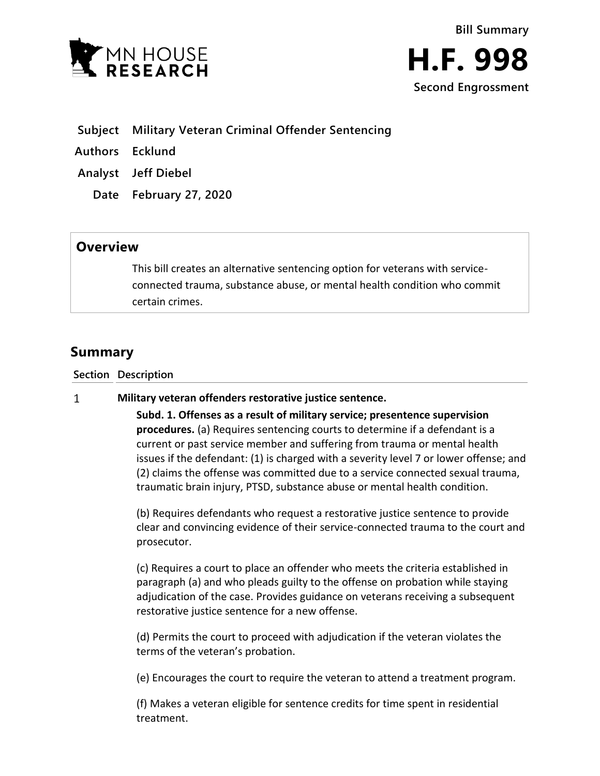



- **Subject Military Veteran Criminal Offender Sentencing**
- **Authors Ecklund**
- **Analyst Jeff Diebel**
	- **Date February 27, 2020**

## **Overview**

This bill creates an alternative sentencing option for veterans with serviceconnected trauma, substance abuse, or mental health condition who commit certain crimes.

# **Summary**

**Section Description**

#### $\mathbf{1}$ **Military veteran offenders restorative justice sentence.**

**Subd. 1. Offenses as a result of military service; presentence supervision procedures.** (a) Requires sentencing courts to determine if a defendant is a current or past service member and suffering from trauma or mental health issues if the defendant: (1) is charged with a severity level 7 or lower offense; and (2) claims the offense was committed due to a service connected sexual trauma, traumatic brain injury, PTSD, substance abuse or mental health condition.

(b) Requires defendants who request a restorative justice sentence to provide clear and convincing evidence of their service-connected trauma to the court and prosecutor.

(c) Requires a court to place an offender who meets the criteria established in paragraph (a) and who pleads guilty to the offense on probation while staying adjudication of the case. Provides guidance on veterans receiving a subsequent restorative justice sentence for a new offense.

(d) Permits the court to proceed with adjudication if the veteran violates the terms of the veteran's probation.

(e) Encourages the court to require the veteran to attend a treatment program.

(f) Makes a veteran eligible for sentence credits for time spent in residential treatment.